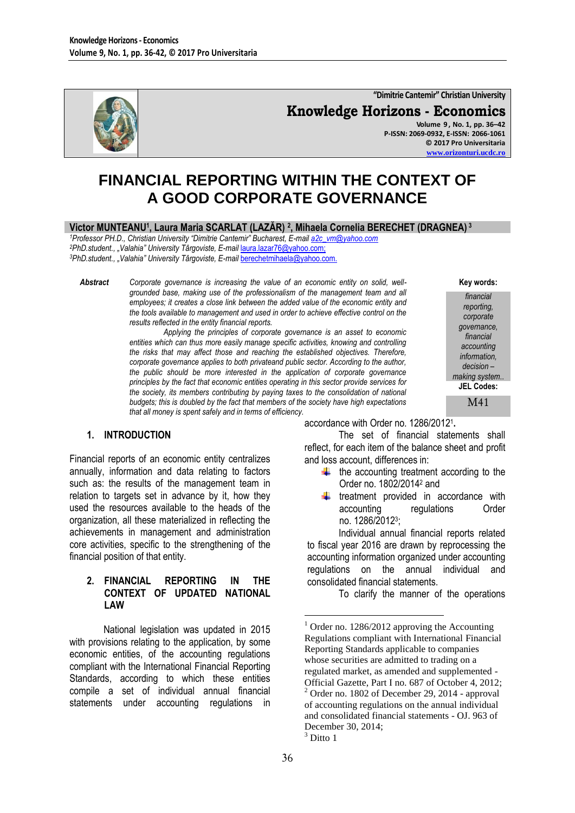

**"Dimitrie Cantemir" Christian University Knowledge Horizons - Economics Volume 9 , No. 1, pp. 36–42 P-ISSN: 2069-0932, E-ISSN: 2066-1061**

**FINANCIAL REPORTING WITHIN THE CONTEXT OF A GOOD CORPORATE GOVERNANCE**

**Victor MUNTEANU<sup>1</sup> , Laura Maria SCARLAT (LAZĂR) <sup>2</sup> , Mihaela Cornelia BERECHET (DRAGNEA) <sup>3</sup>**

*<sup>1</sup>Professor PH.D., Christian University "Dimitrie Cantemir" Bucharest, E-mai[l a2c\\_vm@yahoo.com](mailto:a2c_vm@yahoo.com) <sup>2</sup>PhD.student., "Valahia" University Târgoviste, E-mail* [laura.lazar76@yahoo.com;](mailto:laura.lazar76@yahoo.com) *<sup>3</sup>PhD.student., "Valahia" University Târgoviste, E-mail* [berechetmihaela@yahoo.com.](mailto:berechetmihaela@yahoo.com)

*Abstract Corporate governance is increasing the value of an economic entity on solid, wellgrounded base, making use of the professionalism of the management team and all employees; it creates a close link between the added value of the economic entity and the tools available to management and used in order to achieve effective control on the results reflected in the entity financial reports.*

> *Applying the principles of corporate governance is an asset to economic entities which can thus more easily manage specific activities, knowing and controlling the risks that may affect those and reaching the established objectives. Therefore, corporate governance applies to both privateand public sector. According to the author, the public should be more interested in the application of corporate governance principles by the fact that economic entities operating in this sector provide services for the society, its members contributing by paying taxes to the consolidation of national budgets; this is doubled by the fact that members of the society have high expectations that all money is spent safely and in terms of efficiency.*

**Key words:**

**© 2017 Pro Universitaria [www.orizonturi.ucdc.ro](http://www.orizonturi.ucdc.ro/)**

> *financial reporting, corporate governance, financial accounting information, decision – making system*.. **JEL Codes:** M41

#### **1. INTRODUCTION**

Financial reports of an economic entity centralizes annually, information and data relating to factors such as: the results of the management team in relation to targets set in advance by it, how they used the resources available to the heads of the organization, all these materialized in reflecting the achievements in management and administration core activities, specific to the strengthening of the financial position of that entity.

#### **2. FINANCIAL REPORTING IN THE CONTEXT OF UPDATED NATIONAL LAW**

National legislation was updated in 2015 with provisions relating to the application, by some economic entities, of the accounting regulations compliant with the International Financial Reporting Standards, according to which these entities compile a set of individual annual financial statements under accounting regulations in

accordance with Order no. 1286/2012<sup>1</sup> **.** 

The set of financial statements shall reflect, for each item of the balance sheet and profit and loss account, differences in:

- $\ddot{ }$  the accounting treatment according to the Order no. 1802/2014<sup>2</sup> and
- $t$  treatment provided in accordance with accounting regulations Order no. 1286/2012<sup>3</sup> ;

Individual annual financial reports related to fiscal year 2016 are drawn by reprocessing the accounting information organized under accounting regulations on the annual individual and consolidated financial statements.

To clarify the manner of the operations

<u>.</u>

 $1$  Order no. 1286/2012 approving the Accounting Regulations compliant with International Financial Reporting Standards applicable to companies whose securities are admitted to trading on a regulated market, as amended and supplemented - Official Gazette, Part I no. 687 of October 4, 2012;  $2$  Order no. 1802 of December 29, 2014 - approval of accounting regulations on the annual individual and consolidated financial statements - OJ. 963 of December 30, 2014;

 $3$  Ditto 1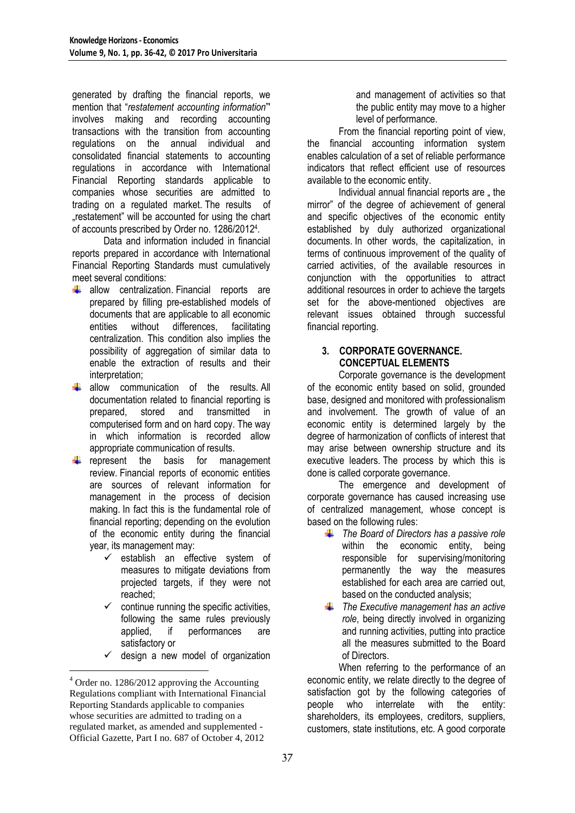generated by drafting the financial reports, we mention that "*restatement accounting information*"' involves making and recording accounting transactions with the transition from accounting regulations on the annual individual and consolidated financial statements to accounting regulations in accordance with International Financial Reporting standards applicable to companies whose securities are admitted to trading on a regulated market. The results of ..restatement" will be accounted for using the chart of accounts prescribed by Order no. 1286/2012<sup>4</sup> .

Data and information included in financial reports prepared in accordance with International Financial Reporting Standards must cumulatively meet several conditions:

- $\frac{1}{2}$  allow centralization. Financial reports are prepared by filling pre-established models of documents that are applicable to all economic entities without differences, facilitating centralization. This condition also implies the possibility of aggregation of similar data to enable the extraction of results and their interpretation;
- ₩. allow communication of the results. All documentation related to financial reporting is prepared, stored and transmitted in computerised form and on hard copy. The way in which information is recorded allow appropriate communication of results.
- represent the basis for management review. Financial reports of economic entities are sources of relevant information for management in the process of decision making. In fact this is the fundamental role of financial reporting; depending on the evolution of the economic entity during the financial year, its management may:
	- $\checkmark$  establish an effective system of measures to mitigate deviations from projected targets, if they were not reached;
	- $\checkmark$  continue running the specific activities. following the same rules previously applied, if performances are satisfactory or
	- $\checkmark$  design a new model of organization

<u>.</u>

and management of activities so that the public entity may move to a higher level of performance.

From the financial reporting point of view, the financial accounting information system enables calculation of a set of reliable performance indicators that reflect efficient use of resources available to the economic entity.

Individual annual financial reports are  $\overline{a}$  the mirror" of the degree of achievement of general and specific objectives of the economic entity established by duly authorized organizational documents. In other words, the capitalization, in terms of continuous improvement of the quality of carried activities, of the available resources in conjunction with the opportunities to attract additional resources in order to achieve the targets set for the above-mentioned objectives are relevant issues obtained through successful financial reporting.

## **3. CORPORATE GOVERNANCE. CONCEPTUAL ELEMENTS**

Corporate governance is the development of the economic entity based on solid, grounded base, designed and monitored with professionalism and involvement. The growth of value of an economic entity is determined largely by the degree of harmonization of conflicts of interest that may arise between ownership structure and its executive leaders. The process by which this is done is called corporate governance.

The emergence and development of corporate governance has caused increasing use of centralized management, whose concept is based on the following rules:

- *The Board of Directors has a passive role* within the economic entity, being responsible for supervising/monitoring permanently the way the measures established for each area are carried out, based on the conducted analysis;
- *The Executive management has an active role*, being directly involved in organizing and running activities, putting into practice all the measures submitted to the Board of Directors.

When referring to the performance of an economic entity, we relate directly to the degree of satisfaction got by the following categories of people who interrelate with the entity: shareholders, its employees, creditors, suppliers, customers, state institutions, etc. A good corporate

<sup>4</sup> Order no. 1286/2012 approving the Accounting Regulations compliant with International Financial Reporting Standards applicable to companies whose securities are admitted to trading on a regulated market, as amended and supplemented - Official Gazette, Part I no. 687 of October 4, 2012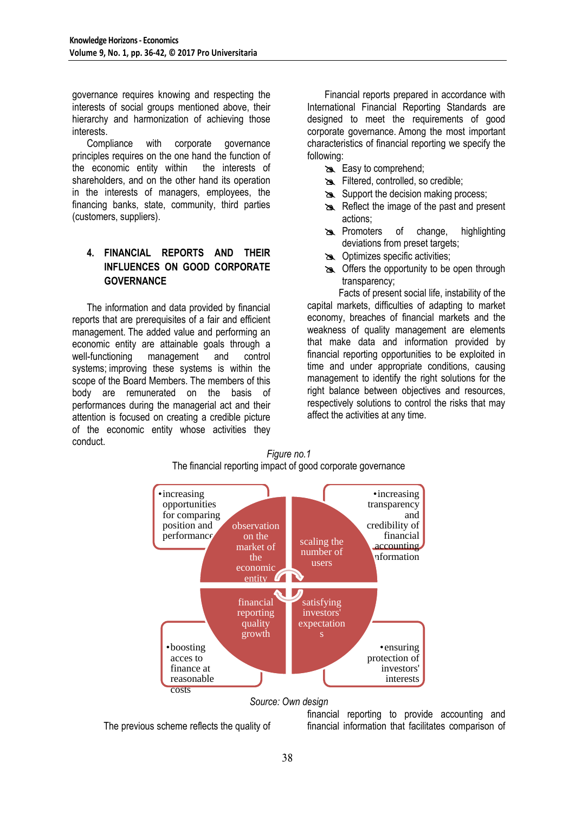governance requires knowing and respecting the interests of social groups mentioned above, their hierarchy and harmonization of achieving those interests.

Compliance with corporate governance principles requires on the one hand the function of the economic entity within the interests of shareholders, and on the other hand its operation in the interests of managers, employees, the financing banks, state, community, third parties (customers, suppliers).

# **4. FINANCIAL REPORTS AND THEIR INFLUENCES ON GOOD CORPORATE GOVERNANCE**

The information and data provided by financial reports that are prerequisites of a fair and efficient management. The added value and performing an economic entity are attainable goals through a well-functioning management and control systems; improving these systems is within the scope of the Board Members. The members of this body are remunerated on the basis of performances during the managerial act and their attention is focused on creating a credible picture of the economic entity whose activities they conduct.

Financial reports prepared in accordance with International Financial Reporting Standards are designed to meet the requirements of good corporate governance. Among the most important characteristics of financial reporting we specify the following:

- Easy to comprehend;
- Filtered, controlled, so credible;
- Support the decision making process;
- Reflect the image of the past and present actions;
- **Promoters** of change, highlighting deviations from preset targets;
- **EX** Optimizes specific activities;
- **Solution** Offers the opportunity to be open through transparency;

Facts of present social life, instability of the capital markets, difficulties of adapting to market economy, breaches of financial markets and the weakness of quality management are elements that make data and information provided by financial reporting opportunities to be exploited in time and under appropriate conditions, causing management to identify the right solutions for the right balance between objectives and resources, respectively solutions to control the risks that may affect the activities at any time.



*Figure no.1*

#### *Source: Own design*

The previous scheme reflects the quality of

financial reporting to provide accounting and financial information that facilitates comparison of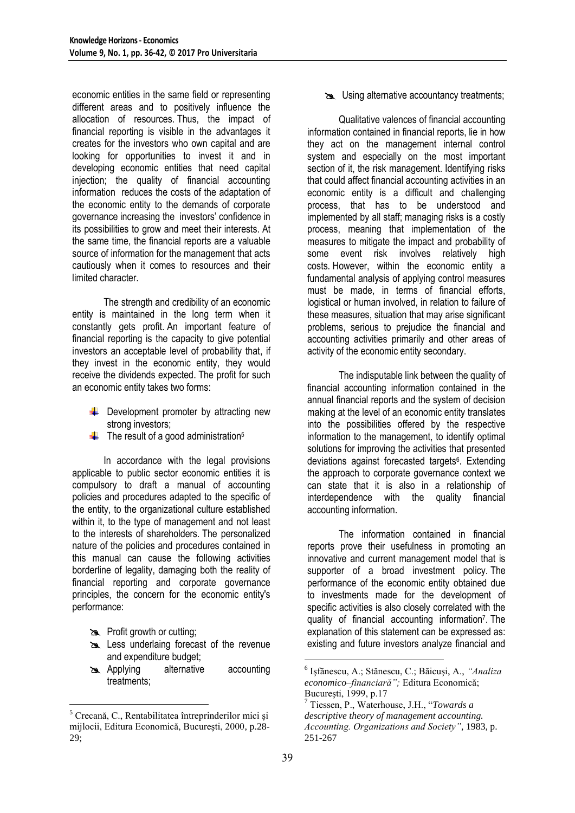economic entities in the same field or representing different areas and to positively influence the allocation of resources. Thus, the impact of financial reporting is visible in the advantages it creates for the investors who own capital and are looking for opportunities to invest it and in developing economic entities that need capital injection; the quality of financial accounting information reduces the costs of the adaptation of the economic entity to the demands of corporate governance increasing the investors' confidence in its possibilities to grow and meet their interests. At the same time, the financial reports are a valuable source of information for the management that acts cautiously when it comes to resources and their limited character.

The strength and credibility of an economic entity is maintained in the long term when it constantly gets profit. An important feature of financial reporting is the capacity to give potential investors an acceptable level of probability that, if they invest in the economic entity, they would receive the dividends expected. The profit for such an economic entity takes two forms:

- $\bigcup$  Development promoter by attracting new strong investors;
- $\ddot{\phantom{a}}$  The result of a good administration<sup>5</sup>

In accordance with the legal provisions applicable to public sector economic entities it is compulsory to draft a manual of accounting policies and procedures adapted to the specific of the entity, to the organizational culture established within it, to the type of management and not least to the interests of shareholders. The personalized nature of the policies and procedures contained in this manual can cause the following activities borderline of legality, damaging both the reality of financial reporting and corporate governance principles, the concern for the economic entity's performance:

**B** Profit growth or cutting;

1

- Less underlaing forecast of the revenue and expenditure budget;
- Applying alternative accounting treatments;

Using alternative accountancy treatments;

Qualitative valences of financial accounting information contained in financial reports, lie in how they act on the management internal control system and especially on the most important section of it, the risk management. Identifying risks that could affect financial accounting activities in an economic entity is a difficult and challenging process, that has to be understood and implemented by all staff; managing risks is a costly process, meaning that implementation of the measures to mitigate the impact and probability of some event risk involves relatively high costs. However, within the economic entity a fundamental analysis of applying control measures must be made, in terms of financial efforts, logistical or human involved, in relation to failure of these measures, situation that may arise significant problems, serious to prejudice the financial and accounting activities primarily and other areas of activity of the economic entity secondary.

The indisputable link between the quality of financial accounting information contained in the annual financial reports and the system of decision making at the level of an economic entity translates into the possibilities offered by the respective information to the management, to identify optimal solutions for improving the activities that presented deviations against forecasted targets<sup>6</sup>. Extending the approach to corporate governance context we can state that it is also in a relationship of interdependence with the quality financial accounting information.

The information contained in financial reports prove their usefulness in promoting an innovative and current management model that is supporter of a broad investment policy. The performance of the economic entity obtained due to investments made for the development of specific activities is also closely correlated with the quality of financial accounting information<sup>7</sup>. The explanation of this statement can be expressed as: existing and future investors analyze financial and

<u>.</u>

<sup>5</sup> Crecană, C., Rentabilitatea întreprinderilor mici şi mijlocii, Editura Economică, Bucureşti, 2000, p.28- 29;

<sup>6</sup> Işfănescu, A.; Stănescu, C.; Băicuşi, A., *"Analiza economico–financiară";* Editura Economică; Bucureşti, 1999, p.17

<sup>7</sup> Tiessen, P., Waterhouse, J.H., "*Towards a descriptive theory of management accounting. Accounting. Organizations and Society"*, 1983, p. 251-267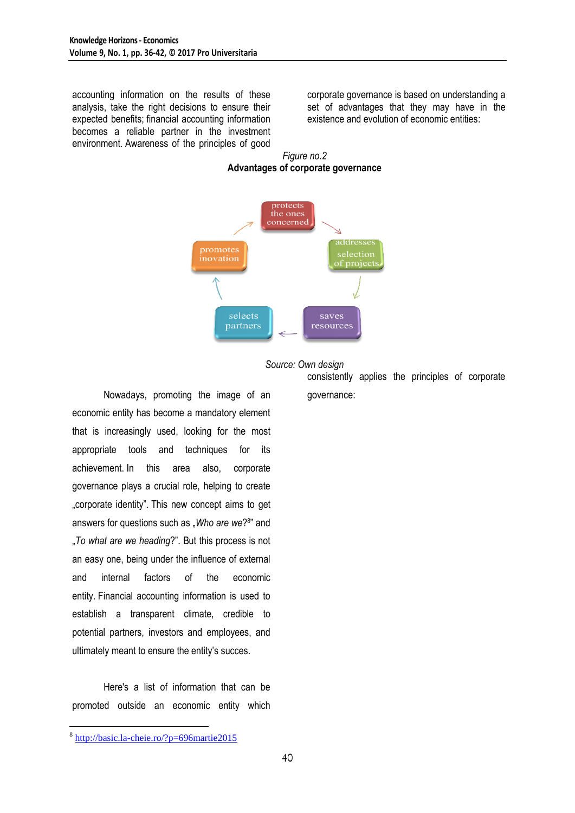accounting information on the results of these analysis, take the right decisions to ensure their expected benefits; financial accounting information becomes a reliable partner in the investment environment. Awareness of the principles of good corporate governance is based on understanding a set of advantages that they may have in the existence and evolution of economic entities:







consistently applies the principles of corporate governance:

Nowadays, promoting the image of an economic entity has become a mandatory element that is increasingly used, looking for the most appropriate tools and techniques for its achievement. In this area also, corporate governance plays a crucial role, helping to create .corporate identity". This new concept aims to get answers for questions such as "Who are we?<sup>8</sup>" and "*To what are we heading*?". But this process is not an easy one, being under the influence of external and internal factors of the economic entity. Financial accounting information is used to establish a transparent climate, credible to potential partners, investors and employees, and ultimately meant to ensure the entity's succes.

Here's a list of information that can be promoted outside an economic entity which

<u>.</u>

<sup>8</sup> <http://basic.la-cheie.ro/?p=696martie2015>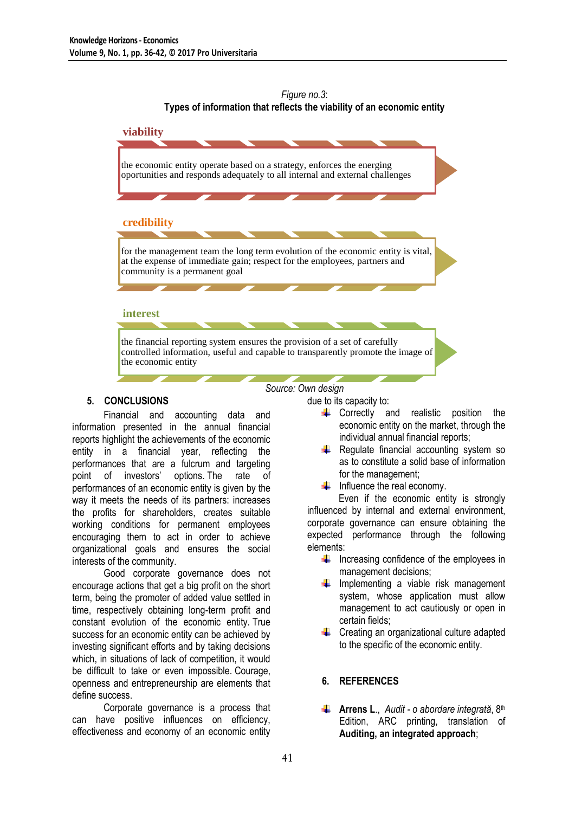## *Figure no.3*: **Types of information that reflects the viability of an economic entity**



## **5. CONCLUSIONS**

Financial and accounting data and information presented in the annual financial reports highlight the achievements of the economic entity in a financial year, reflecting the performances that are a fulcrum and targeting point of investors' options. The rate of performances of an economic entity is given by the way it meets the needs of its partners: increases the profits for shareholders, creates suitable working conditions for permanent employees encouraging them to act in order to achieve organizational goals and ensures the social interests of the community.

Good corporate governance does not encourage actions that get a big profit on the short term, being the promoter of added value settled in time, respectively obtaining long-term profit and constant evolution of the economic entity. True success for an economic entity can be achieved by investing significant efforts and by taking decisions which, in situations of lack of competition, it would be difficult to take or even impossible. Courage, openness and entrepreneurship are elements that define success.

Corporate governance is a process that can have positive influences on efficiency, effectiveness and economy of an economic entity

due to its capacity to:

- $\leftarrow$  Correctly and realistic position the economic entity on the market, through the individual annual financial reports;
- $\bigstar$  Regulate financial accounting system so as to constitute a solid base of information for the management;
- $\frac{1}{\sqrt{1}}$  Influence the real economy.

Even if the economic entity is strongly influenced by internal and external environment, corporate governance can ensure obtaining the expected performance through the following elements:

- $\downarrow$  Increasing confidence of the employees in management decisions;
- $\downarrow$  Implementing a viable risk management system, whose application must allow management to act cautiously or open in certain fields;
- **↓** Creating an organizational culture adapted to the specific of the economic entity.

# **6. REFERENCES**

**4 Arrens L.,** *Audit - o abordare integrată***, 8<sup>th</sup>** Edition, ARC printing, translation of **Auditing, an integrated approach**;